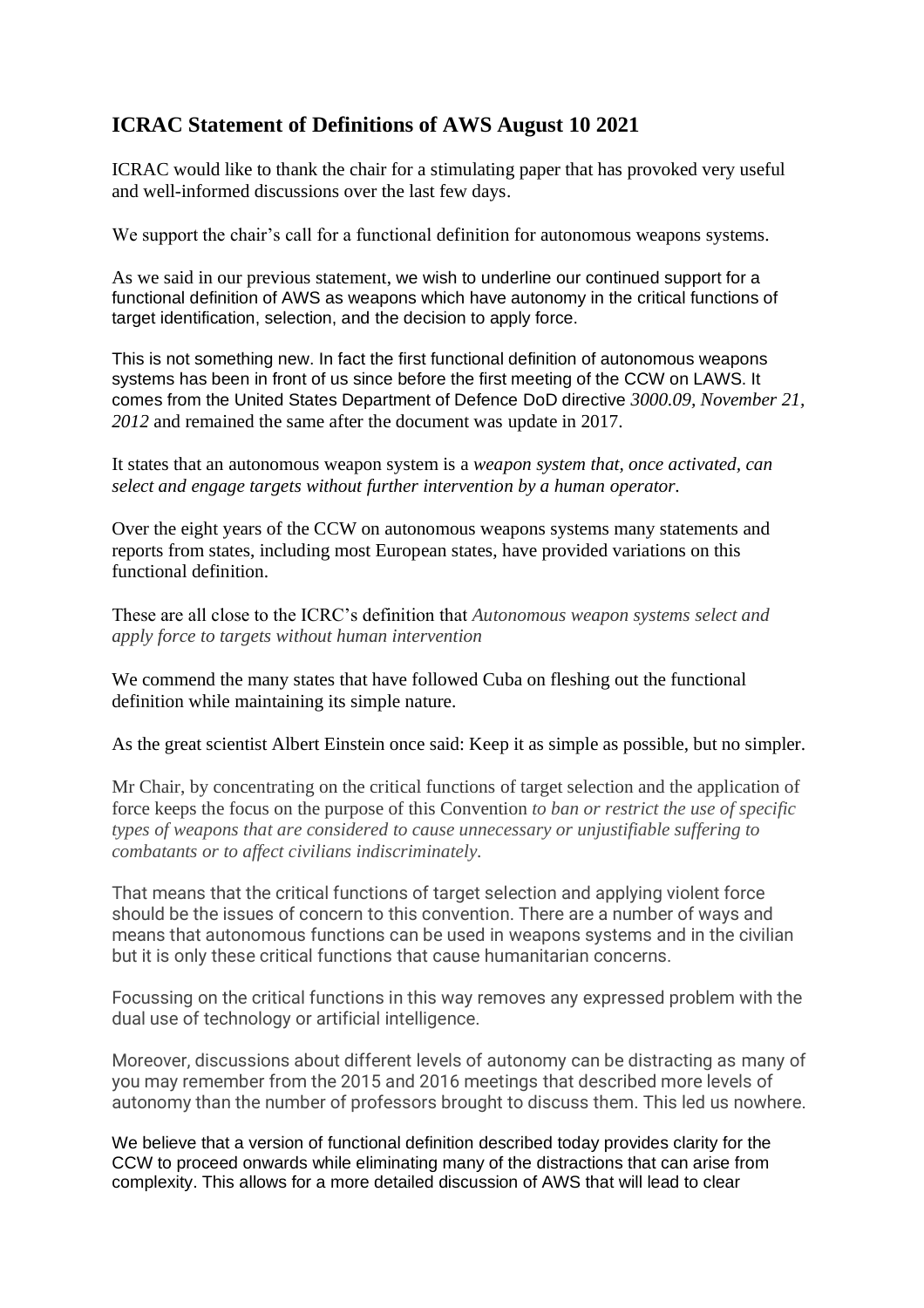## **ICRAC Statement of Definitions of AWS August 10 2021**

ICRAC would like to thank the chair for a stimulating paper that has provoked very useful and well-informed discussions over the last few days.

We support the chair's call for a functional definition for autonomous weapons systems.

As we said in our previous statement, we wish to underline our continued support for a functional definition of AWS as weapons which have autonomy in the critical functions of target identification, selection, and the decision to apply force.

This is not something new. In fact the first functional definition of autonomous weapons systems has been in front of us since before the first meeting of the CCW on LAWS. It comes from the United States Department of Defence DoD directive *3000.09, November 21, 2012* and remained the same after the document was update in 2017.

It states that an autonomous weapon system is a *weapon system that, once activated, can select and engage targets without further intervention by a human operator.*

Over the eight years of the CCW on autonomous weapons systems many statements and reports from states, including most European states, have provided variations on this functional definition.

These are all close to the ICRC's definition that *Autonomous weapon systems select and apply force to targets without human intervention*

We commend the many states that have followed Cuba on fleshing out the functional definition while maintaining its simple nature.

As the great scientist Albert Einstein once said: Keep it as simple as possible, but no simpler.

Mr Chair, by concentrating on the critical functions of target selection and the application of force keeps the focus on the purpose of this Convention *to ban or restrict the use of specific types of weapons that are considered to cause unnecessary or unjustifiable suffering to combatants or to affect civilians indiscriminately.*

That means that the critical functions of target selection and applying violent force should be the issues of concern to this convention. There are a number of ways and means that autonomous functions can be used in weapons systems and in the civilian but it is only these critical functions that cause humanitarian concerns.

Focussing on the critical functions in this way removes any expressed problem with the dual use of technology or artificial intelligence.

Moreover, discussions about different levels of autonomy can be distracting as many of you may remember from the 2015 and 2016 meetings that described more levels of autonomy than the number of professors brought to discuss them. This led us nowhere.

We believe that a version of functional definition described today provides clarity for the CCW to proceed onwards while eliminating many of the distractions that can arise from complexity. This allows for a more detailed discussion of AWS that will lead to clear